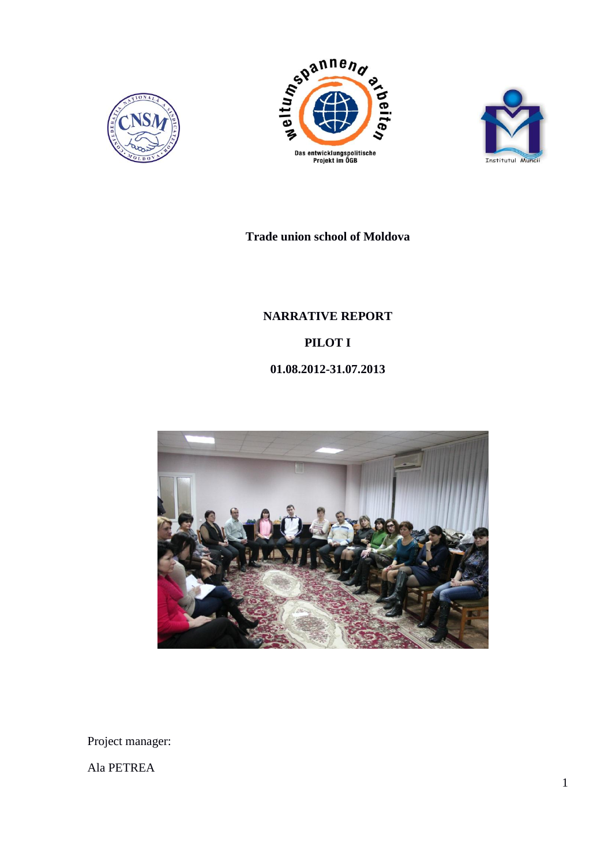





**Trade union school of Moldova**

**NARRATIVE REPORT PILOT I 01.08.2012-31.07.2013**



Project manager:

Ala PETREA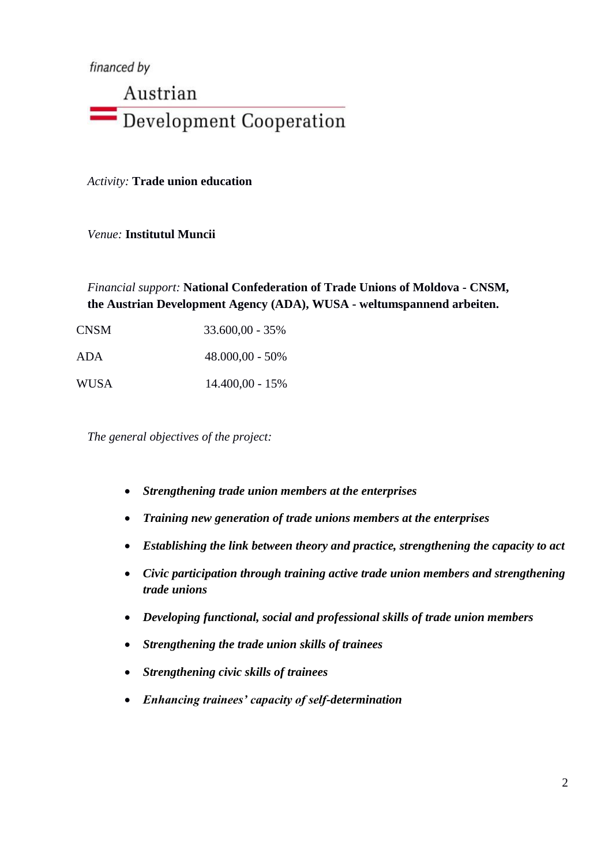financed by

# Austrian Development Cooperation

*Activity:* **Trade union education**

*Venue:* **Institutul Muncii**

*Financial support:* **National Confederation of Trade Unions of Moldova - CNSM, the Austrian Development Agency (ADA), WUSA - weltumspannend arbeiten.**

| CNSM | $33.600,00 - 35\%$ |
|------|--------------------|
| ADA  | $48.000,00 - 50\%$ |
| WUSA | $14.400,00 - 15%$  |

*The general objectives of the project:*

- *Strengthening trade union members at the enterprises*
- *Training new generation of trade unions members at the enterprises*
- *Establishing the link between theory and practice, strengthening the capacity to act*
- *Civic participation through training active trade union members and strengthening trade unions*
- *Developing functional, social and professional skills of trade union members*
- *Strengthening the trade union skills of trainees*
- *Strengthening civic skills of trainees*
- *Enhancing trainees' capacity of self-determination*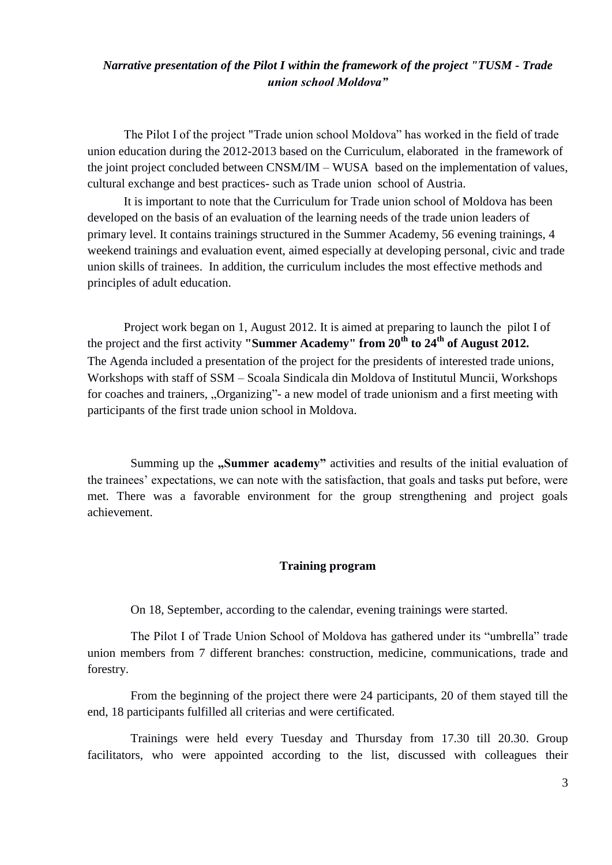## *Narrative presentation of the Pilot I within the framework of the project "TUSM - Trade union school Moldova"*

The Pilot I of the project "Trade union school Moldova" has worked in the field of trade union education during the 2012-2013 based on the Curriculum, elaborated in the framework of the joint project concluded between CNSM/IM – WUSA based on the implementation of values, cultural exchange and best practices- such as Trade union school of Austria.

It is important to note that the Curriculum for Trade union school of Moldova has been developed on the basis of an evaluation of the learning needs of the trade union leaders of primary level. It contains trainings structured in the Summer Academy, 56 evening trainings, 4 weekend trainings and evaluation event, aimed especially at developing personal, civic and trade union skills of trainees. In addition, the curriculum includes the most effective methods and principles of adult education.

Project work began on 1, August 2012. It is aimed at preparing to launch the pilot I of the project and the first activity **"Summer Academy" from 20th to 24th of August 2012.** The Agenda included a presentation of the project for the presidents of interested trade unions, Workshops with staff of SSM – Scoala Sindicala din Moldova of Institutul Muncii, Workshops for coaches and trainers, "Organizing"- a new model of trade unionism and a first meeting with participants of the first trade union school in Moldova.

Summing up the **"Summer academy"** activities and results of the initial evaluation of the trainees' expectations, we can note with the satisfaction, that goals and tasks put before, were met. There was a favorable environment for the group strengthening and project goals achievement.

#### **Training program**

On 18, September, according to the calendar, evening trainings were started.

The Pilot I of Trade Union School of Moldova has gathered under its "umbrella" trade union members from 7 different branches: construction, medicine, communications, trade and forestry.

From the beginning of the project there were 24 participants, 20 of them stayed till the end, 18 participants fulfilled all criterias and were certificated.

Trainings were held every Tuesday and Thursday from 17.30 till 20.30. Group facilitators, who were appointed according to the list, discussed with colleagues their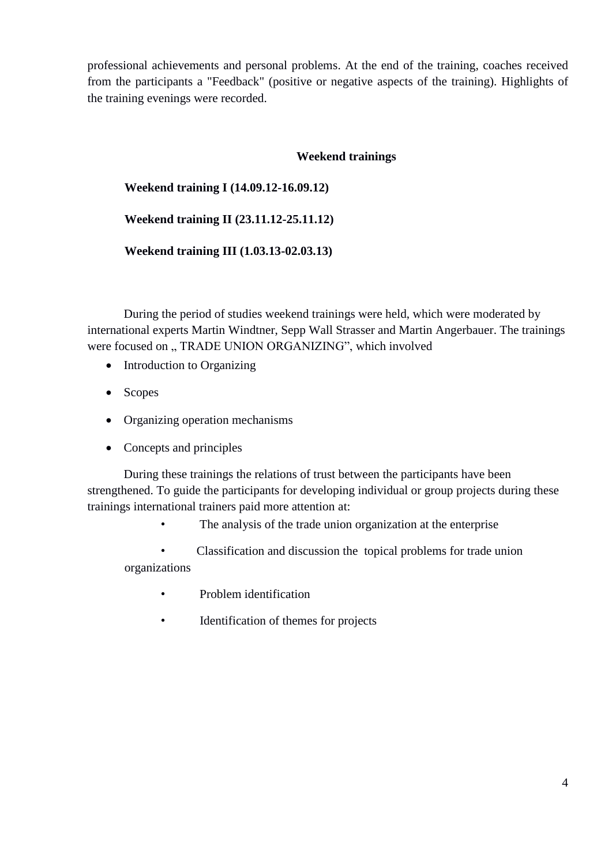professional achievements and personal problems. At the end of the training, coaches received from the participants a "Feedback" (positive or negative aspects of the training). Highlights of the training evenings were recorded.

## **Weekend trainings**

## **Weekend training I (14.09.12-16.09.12)**

## **Weekend training II (23.11.12-25.11.12)**

**Weekend training III (1.03.13-02.03.13)**

During the period of studies weekend trainings were held, which were moderated by international experts Martin Windtner, Sepp Wall Strasser and Martin Angerbauer. The trainings were focused on " TRADE UNION ORGANIZING", which involved

- Introduction to Organizing
- Scopes
- Organizing operation mechanisms
- Concepts and principles

During these trainings the relations of trust between the participants have been strengthened. To guide the participants for developing individual or group projects during these trainings international trainers paid more attention at:

The analysis of the trade union organization at the enterprise

• Classification and discussion the topical problems for trade union organizations

- Problem identification
- Identification of themes for projects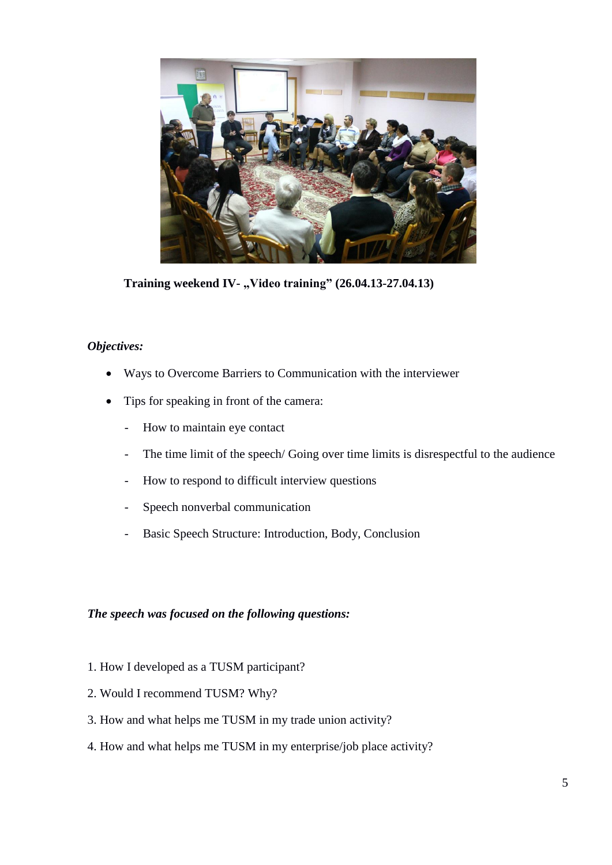

Training weekend IV- "Video training" (26.04.13-27.04.13)

## *Objectives:*

- Ways to Overcome Barriers to Communication with the interviewer
- Tips for speaking in front of the camera:
	- How to maintain eye contact
	- The time limit of the speech/ Going over time limits is disrespectful to the audience
	- How to respond to difficult interview questions
	- Speech nonverbal communication
	- Basic Speech Structure: Introduction, Body, Conclusion

## *The speech was focused on the following questions:*

- 1. How I developed as a TUSM participant?
- 2. Would I recommend TUSM? Why?
- 3. How and what helps me TUSM in my trade union activity?
- 4. How and what helps me TUSM in my enterprise/job place activity?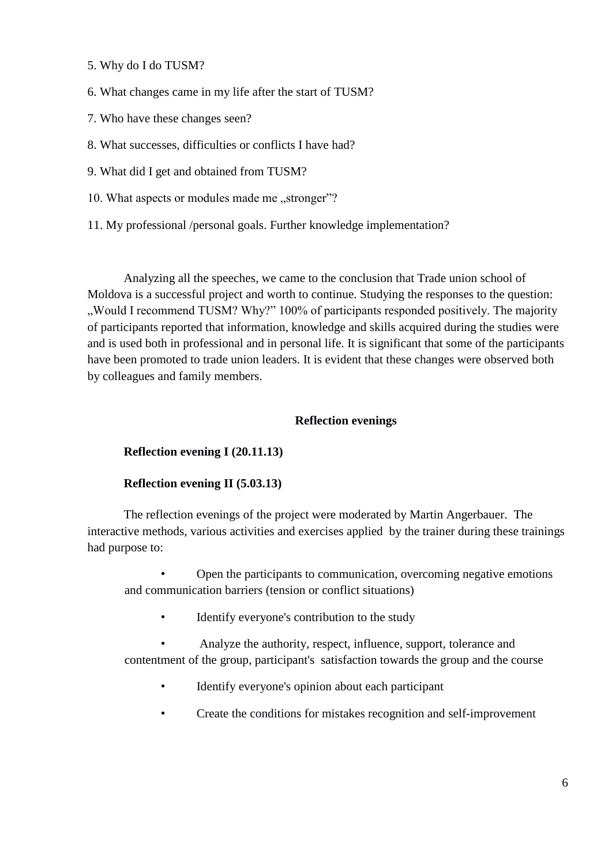- 5. Why do I do TUSM?
- 6. What changes came in my life after the start of TUSM?
- 7. Who have these changes seen?
- 8. What successes, difficulties or conflicts I have had?
- 9. What did I get and obtained from TUSM?
- 10. What aspects or modules made me "stronger"?
- 11. My professional /personal goals. Further knowledge implementation?

Analyzing all the speeches, we came to the conclusion that Trade union school of Moldova is a successful project and worth to continue. Studying the responses to the question: Would I recommend TUSM? Why?" 100% of participants responded positively. The majority of participants reported that information, knowledge and skills acquired during the studies were and is used both in professional and in personal life. It is significant that some of the participants have been promoted to trade union leaders. It is evident that these changes were observed both by colleagues and family members.

## **Reflection evenings**

#### **Reflection evening I (20.11.13)**

#### **Reflection evening II (5.03.13)**

The reflection evenings of the project were moderated by Martin Angerbauer. The interactive methods, various activities and exercises applied by the trainer during these trainings had purpose to:

• Open the participants to communication, overcoming negative emotions and communication barriers (tension or conflict situations)

Identify everyone's contribution to the study

• Analyze the authority, respect, influence, support, tolerance and contentment of the group, participant's satisfaction towards the group and the course

- Identify everyone's opinion about each participant
- Create the conditions for mistakes recognition and self-improvement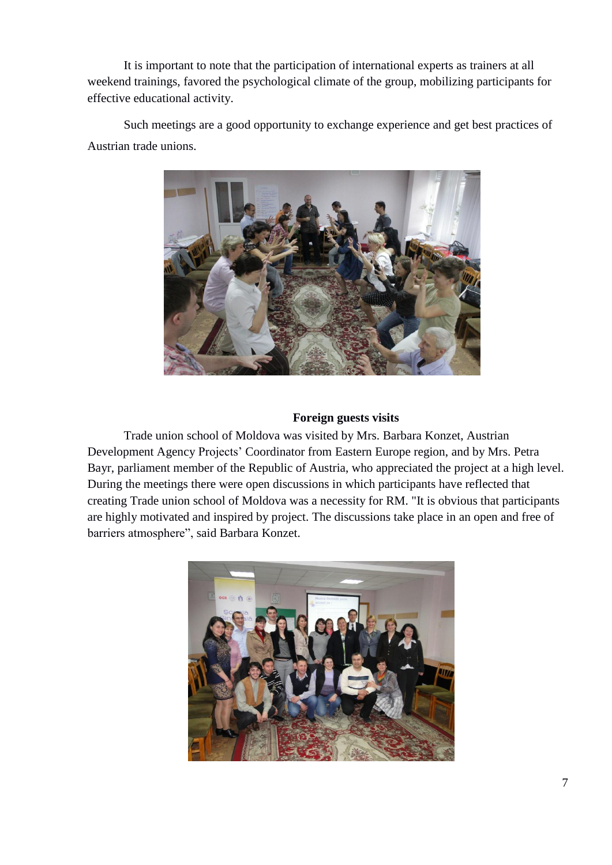It is important to note that the participation of international experts as trainers at all weekend trainings, favored the psychological climate of the group, mobilizing participants for effective educational activity.

Such meetings are a good opportunity to exchange experience and get best practices of Austrian trade unions.



## **Foreign guests visits**

Trade union school of Moldova was visited by Mrs. Barbara Konzet, Austrian Development Agency Projects' Coordinator from Eastern Europe region, and by Mrs. Petra Bayr, parliament member of the Republic of Austria, who appreciated the project at a high level. During the meetings there were open discussions in which participants have reflected that creating Trade union school of Moldova was a necessity for RM. "It is obvious that participants are highly motivated and inspired by project. The discussions take place in an open and free of barriers atmosphere", said Barbara Konzet.

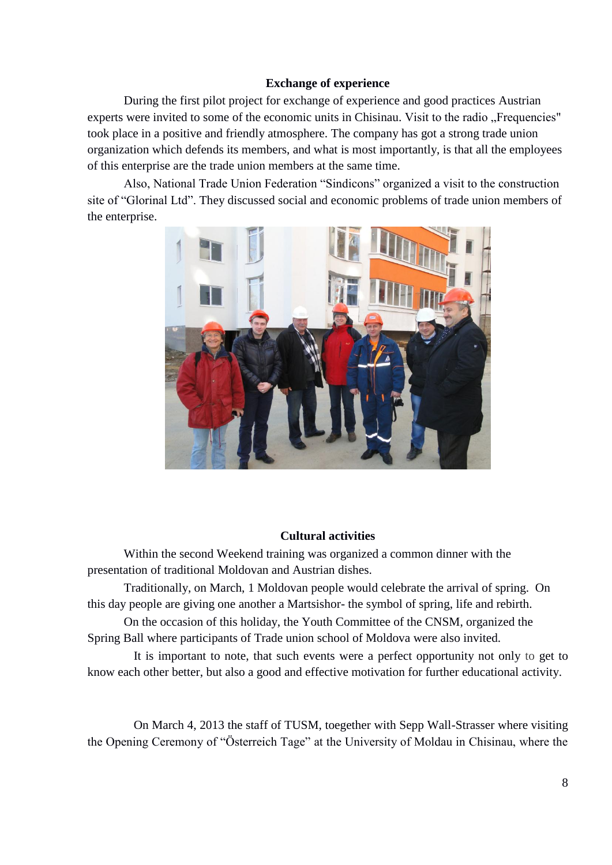#### **Exchange of experience**

During the first pilot project for exchange of experience and good practices Austrian experts were invited to some of the economic units in Chisinau. Visit to the radio "Frequencies" took place in a positive and friendly atmosphere. The company has got a strong trade union organization which defends its members, and what is most importantly, is that all the employees of this enterprise are the trade union members at the same time.

Also, National Trade Union Federation "Sindicons" organized a visit to the construction site of "Glorinal Ltd". They discussed social and economic problems of trade union members of the enterprise.



#### **Cultural activities**

Within the second Weekend training was organized a common dinner with the presentation of traditional Moldovan and Austrian dishes.

Traditionally, on March, 1 Moldovan people would celebrate the arrival of spring. On this day people are giving one another a Martsishor- the symbol of spring, life and rebirth.

On the occasion of this holiday, the Youth Committee of the CNSM, organized the Spring Ball where participants of Trade union school of Moldova were also invited.

It is important to note, that such events were a perfect opportunity not only to get to know each other better, but also a good and effective motivation for further educational activity.

On March 4, 2013 the staff of TUSM, toegether with Sepp Wall-Strasser where visiting the Opening Ceremony of "Österreich Tage" at the University of Moldau in Chisinau, where the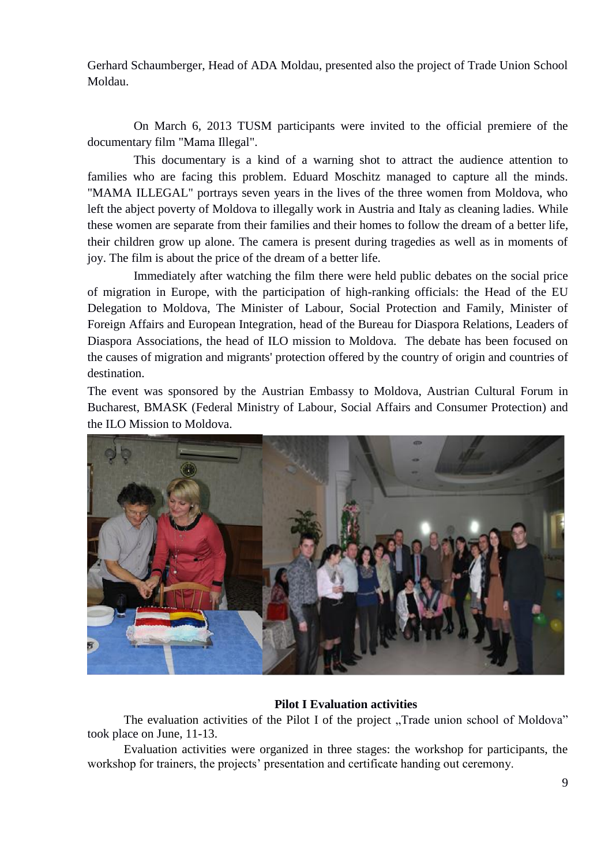Gerhard Schaumberger, Head of ADA Moldau, presented also the project of Trade Union School Moldau.

On March 6, 2013 TUSM participants were invited to the official premiere of the documentary film "Mama Illegal".

This documentary is a kind of a warning shot to attract the audience attention to families who are facing this problem. Eduard Moschitz managed to capture all the minds. "MAMA ILLEGAL" portrays seven years in the lives of the three women from Moldova, who left the abject poverty of Moldova to illegally work in Austria and Italy as cleaning ladies. While these women are separate from their families and their homes to follow the dream of a better life, their children grow up alone. The camera is present during tragedies as well as in moments of joy. The film is about the price of the dream of a better life.

Immediately after watching the film there were held public debates on the social price of migration in Europe, with the participation of high-ranking officials: the Head of the EU Delegation to Moldova, The Minister of Labour, Social Protection and Family, Minister of Foreign Affairs and European Integration, head of the Bureau for Diaspora Relations, Leaders of Diaspora Associations, the head of ILO mission to Moldova. The debate has been focused on the causes of migration and migrants' protection offered by the country of origin and countries of destination.

The event was sponsored by the Austrian Embassy to Moldova, Austrian Cultural Forum in Bucharest, BMASK (Federal Ministry of Labour*,* Social Affairs and Consumer Protection) and the ILO Mission to Moldova.



## **Pilot I Evaluation activities**

The evaluation activities of the Pilot I of the project "Trade union school of Moldova" took place on June, 11-13.

Evaluation activities were organized in three stages: the workshop for participants, the workshop for trainers, the projects' presentation and certificate handing out ceremony.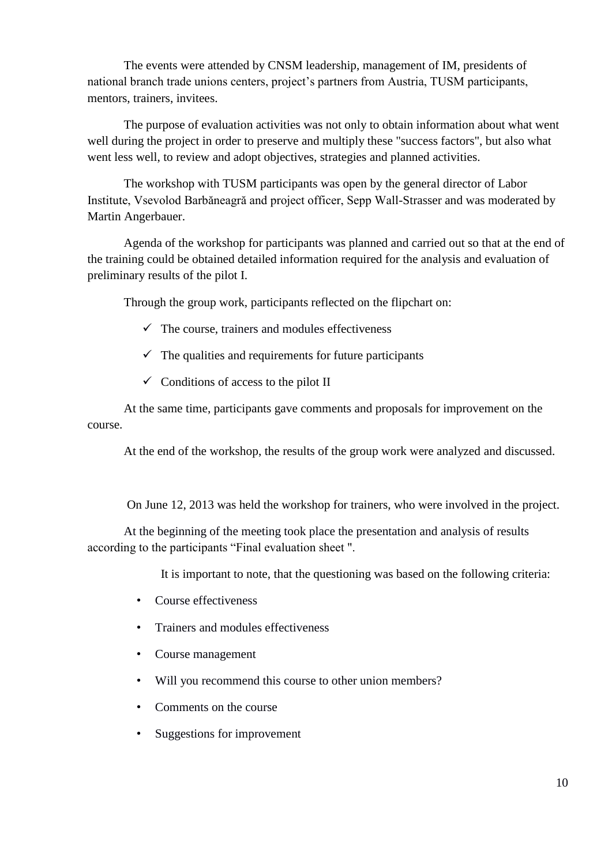The events were attended by CNSM leadership, management of IM, presidents of national branch trade unions centers, project's partners from Austria, TUSM participants, mentors, trainers, invitees.

The purpose of evaluation activities was not only to obtain information about what went well during the project in order to preserve and multiply these "success factors", but also what went less well, to review and adopt objectives, strategies and planned activities.

The workshop with TUSM participants was open by the general director of Labor Institute, Vsevolod Barbăneagră and project officer, Sepp Wall-Strasser and was moderated by Martin Angerbauer.

Agenda of the workshop for participants was planned and carried out so that at the end of the training could be obtained detailed information required for the analysis and evaluation of preliminary results of the pilot I.

Through the group work, participants reflected on the flipchart on:

- $\checkmark$  The course, trainers and modules effectiveness
- $\checkmark$  The qualities and requirements for future participants
- $\checkmark$  Conditions of access to the pilot II

At the same time, participants gave comments and proposals for improvement on the course.

At the end of the workshop, the results of the group work were analyzed and discussed.

On June 12, 2013 was held the workshop for trainers, who were involved in the project.

At the beginning of the meeting took place the presentation and analysis of results according to the participants "Final evaluation sheet ".

It is important to note, that the questioning was based on the following criteria:

- Course effectiveness
- Trainers and modules effectiveness
- Course management
- Will you recommend this course to other union members?
- Comments on the course
- Suggestions for improvement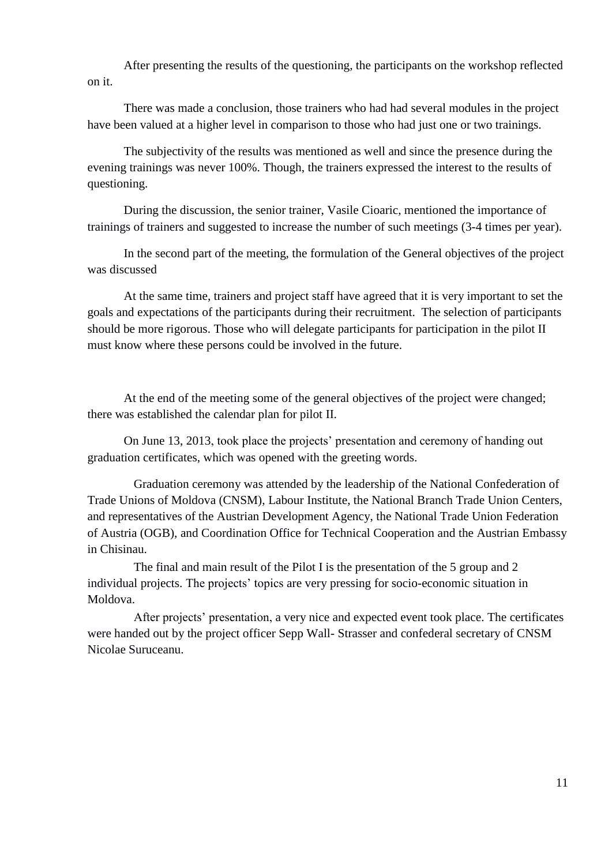After presenting the results of the questioning, the participants on the workshop reflected on it.

There was made a conclusion, those trainers who had had several modules in the project have been valued at a higher level in comparison to those who had just one or two trainings.

The subjectivity of the results was mentioned as well and since the presence during the evening trainings was never 100%. Though, the trainers expressed the interest to the results of questioning.

During the discussion, the senior trainer, Vasile Cioaric, mentioned the importance of trainings of trainers and suggested to increase the number of such meetings (3-4 times per year).

In the second part of the meeting, the formulation of the General objectives of the project was discussed

At the same time, trainers and project staff have agreed that it is very important to set the goals and expectations of the participants during their recruitment. The selection of participants should be more rigorous. Those who will delegate participants for participation in the pilot II must know where these persons could be involved in the future.

At the end of the meeting some of the general objectives of the project were changed; there was established the calendar plan for pilot II.

On June 13, 2013, took place the projects' presentation and ceremony of handing out graduation certificates, which was opened with the greeting words.

Graduation ceremony was attended by the leadership of the National Confederation of Trade Unions of Moldova (CNSM), Labour Institute, the National Branch Trade Union Centers, and representatives of the Austrian Development Agency, the National Trade Union Federation of Austria (OGB), and Coordination Office for Technical Cooperation and the Austrian Embassy in Chisinau.

The final and main result of the Pilot I is the presentation of the 5 group and 2 individual projects. The projects' topics are very pressing for socio-economic situation in Moldova.

After projects' presentation, a very nice and expected event took place. The certificates were handed out by the project officer Sepp Wall- Strasser and confederal secretary of CNSM Nicolae Suruceanu.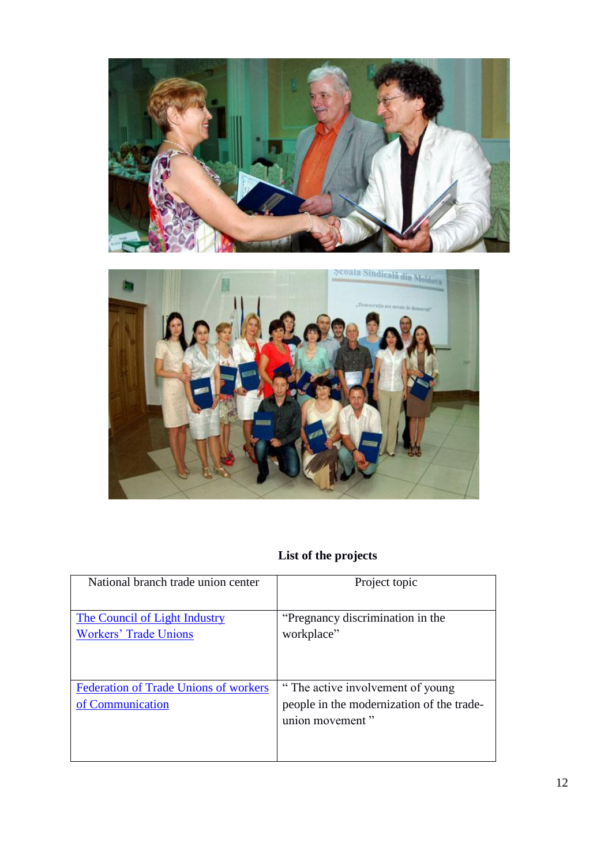



## **List of the projects**

| National branch trade union center                               | Project topic                                                                                     |
|------------------------------------------------------------------|---------------------------------------------------------------------------------------------------|
| The Council of Light Industry<br><b>Workers' Trade Unions</b>    | "Pregnancy discrimination in the<br>workplace"                                                    |
| <b>Federation of Trade Unions of workers</b><br>of Communication | "The active involvement of young"<br>people in the modernization of the trade-<br>union movement" |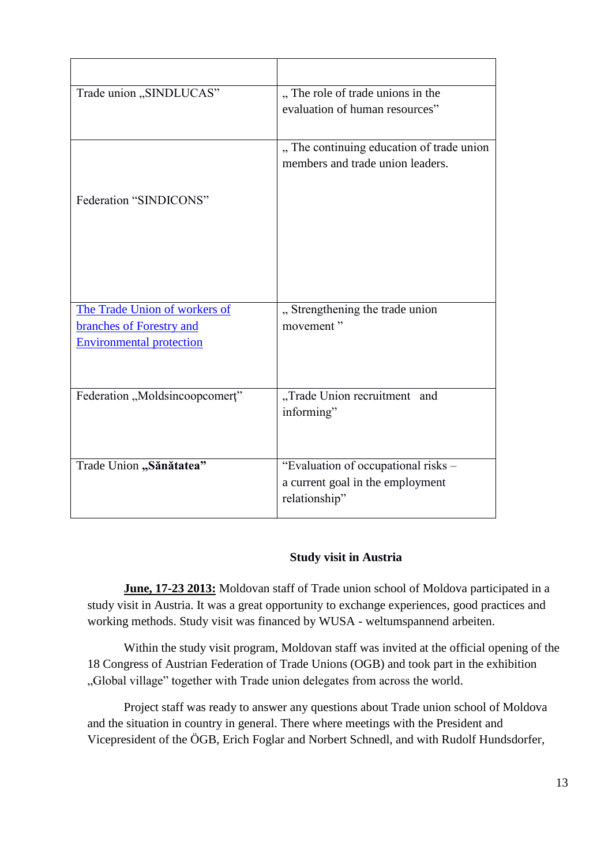| Trade union "SINDLUCAS"         | "The role of trade unions in the          |
|---------------------------------|-------------------------------------------|
|                                 | evaluation of human resources"            |
|                                 |                                           |
|                                 | " The continuing education of trade union |
|                                 | members and trade union leaders.          |
|                                 |                                           |
| Federation "SINDICONS"          |                                           |
|                                 |                                           |
|                                 |                                           |
|                                 |                                           |
|                                 |                                           |
|                                 |                                           |
| The Trade Union of workers of   | "Strengthening the trade union            |
| branches of Forestry and        | movement"                                 |
| <b>Environmental protection</b> |                                           |
|                                 |                                           |
|                                 |                                           |
| Federation "Moldsincoopcomert"  | "Trade Union recruitment<br>and           |
|                                 | informing"                                |
|                                 |                                           |
|                                 |                                           |
| Trade Union "Sănătatea"         | "Evaluation of occupational risks -       |
|                                 | a current goal in the employment          |
|                                 | relationship"                             |
|                                 |                                           |

## **Study visit in Austria**

**June, 17-23 2013:** Moldovan staff of Trade union school of Moldova participated in a study visit in Austria. It was a great opportunity to exchange experiences, good practices and working methods. Study visit was financed by WUSA - weltumspannend arbeiten.

Within the study visit program, Moldovan staff was invited at the official opening of the 18 Congress of Austrian Federation of Trade Unions (OGB) and took part in the exhibition "Global village" together with Trade union delegates from across the world.

Project staff was ready to answer any questions about Trade union school of Moldova and the situation in country in general. There where meetings with the President and Vicepresident of the ÖGB, Erich Foglar and Norbert Schnedl, and with Rudolf Hundsdorfer,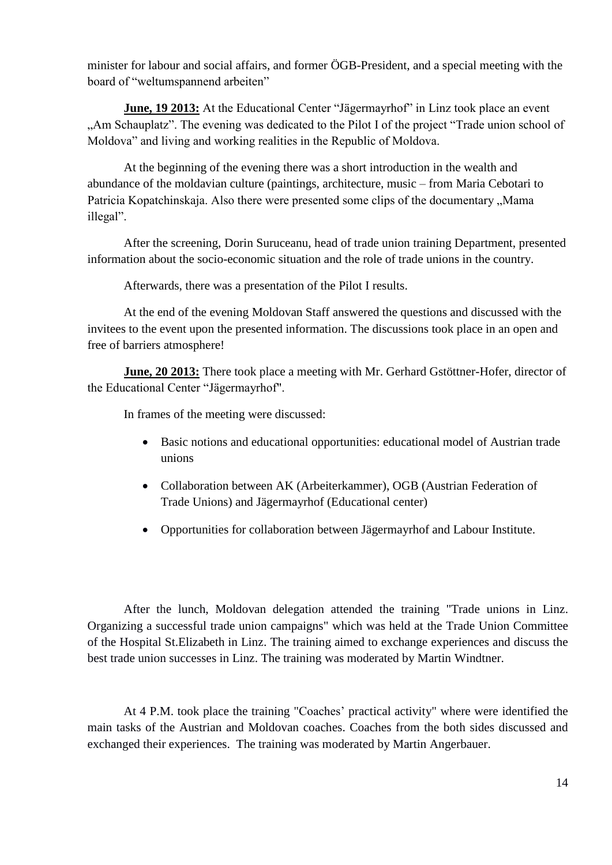minister for labour and social affairs, and former ÖGB-President, and a special meeting with the board of "weltumspannend arbeiten"

**June, 19 2013:** At the Educational Center "Jägermayrhof" in Linz took place an event "Am Schauplatz". The evening was dedicated to the Pilot I of the project "Trade union school of Moldova" and living and working realities in the Republic of Moldova.

At the beginning of the evening there was a short introduction in the wealth and abundance of the moldavian culture (paintings, architecture, music – from Maria Cebotari to Patricia Kopatchinskaja. Also there were presented some clips of the documentary "Mama illegal".

After the screening, Dorin Suruceanu, head of trade union training Department, presented information about the socio-economic situation and the role of trade unions in the country.

Afterwards, there was a presentation of the Pilot I results.

At the end of the evening Moldovan Staff answered the questions and discussed with the invitees to the event upon the presented information. The discussions took place in an open and free of barriers atmosphere!

**June, 20 2013:** There took place a meeting with Mr. Gerhard Gstöttner-Hofer, director of the Educational Center "Jägermayrhof".

In frames of the meeting were discussed:

- Basic notions and educational opportunities: educational model of Austrian trade unions
- Collaboration between AK (Arbeiterkammer), OGB (Austrian Federation of Trade Unions) and Jägermayrhof (Educational center)
- Opportunities for collaboration between Jägermayrhof and Labour Institute.

After the lunch, Moldovan delegation attended the training "Trade unions in Linz. Organizing a successful trade union campaigns" which was held at the Trade Union Committee of the Hospital St.Elizabeth in Linz. The training aimed to exchange experiences and discuss the best trade union successes in Linz. The training was moderated by Martin Windtner.

At 4 P.M. took place the training "Coaches' practical activity" where were identified the main tasks of the Austrian and Moldovan coaches. Coaches from the both sides discussed and exchanged their experiences. The training was moderated by Martin Angerbauer.